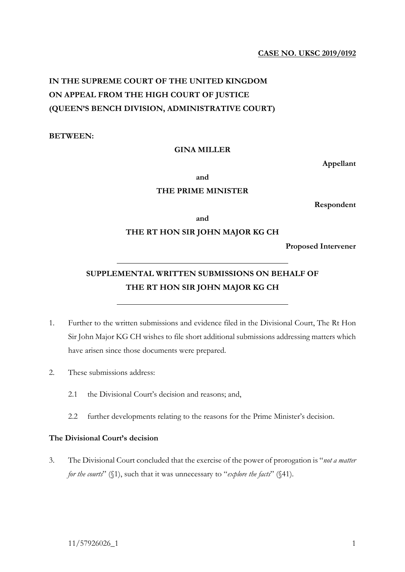# **CASE NO. UKSC 2019/0192**

# **IN THE SUPREME COURT OF THE UNITED KINGDOM ON APPEAL FROM THE HIGH COURT OF JUSTICE (QUEEN'S BENCH DIVISION, ADMINISTRATIVE COURT)**

**BETWEEN:** 

### **GINA MILLER**

**Appellant**

**and**

## **THE PRIME MINISTER**

**Respondent**

**and**

### **THE RT HON SIR JOHN MAJOR KG CH**

**Proposed Intervener**

# **SUPPLEMENTAL WRITTEN SUBMISSIONS ON BEHALF OF THE RT HON SIR JOHN MAJOR KG CH**

- 1. Further to the written submissions and evidence filed in the Divisional Court, The Rt Hon Sir John Major KG CH wishes to file short additional submissions addressing matters which have arisen since those documents were prepared.
- 2. These submissions address:
	- 2.1 the Divisional Court's decision and reasons; and,
	- 2.2 further developments relating to the reasons for the Prime Minister's decision.

# **The Divisional Court's decision**

3. The Divisional Court concluded that the exercise of the power of prorogation is "*not a matter for the courts*" ( $\{1\}$ , such that it was unnecessary to "*explore the facts*" ( $\{41\}$ ).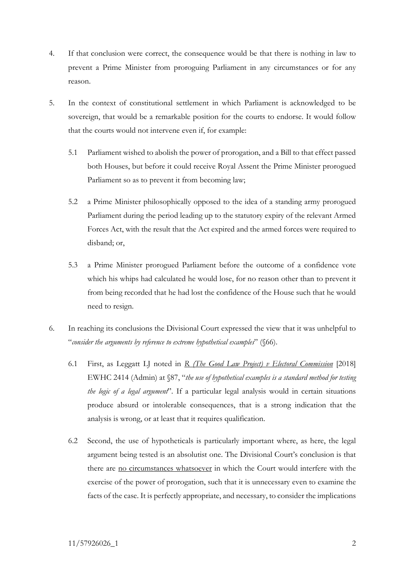- 4. If that conclusion were correct, the consequence would be that there is nothing in law to prevent a Prime Minister from proroguing Parliament in any circumstances or for any reason.
- 5. In the context of constitutional settlement in which Parliament is acknowledged to be sovereign, that would be a remarkable position for the courts to endorse. It would follow that the courts would not intervene even if, for example:
	- 5.1 Parliament wished to abolish the power of prorogation, and a Bill to that effect passed both Houses, but before it could receive Royal Assent the Prime Minister prorogued Parliament so as to prevent it from becoming law;
	- 5.2 a Prime Minister philosophically opposed to the idea of a standing army prorogued Parliament during the period leading up to the statutory expiry of the relevant Armed Forces Act, with the result that the Act expired and the armed forces were required to disband; or,
	- 5.3 a Prime Minister prorogued Parliament before the outcome of a confidence vote which his whips had calculated he would lose, for no reason other than to prevent it from being recorded that he had lost the confidence of the House such that he would need to resign.
- 6. In reaching its conclusions the Divisional Court expressed the view that it was unhelpful to "*consider the arguments by reference to extreme hypothetical examples*" (§66).
	- 6.1 First, as Leggatt LJ noted in *R (The Good Law Project) v Electoral Commission* [2018] EWHC 2414 (Admin) at §87, "*the use of hypothetical examples is a standard method for testing the logic of a legal argument*". If a particular legal analysis would in certain situations produce absurd or intolerable consequences, that is a strong indication that the analysis is wrong, or at least that it requires qualification.
	- 6.2 Second, the use of hypotheticals is particularly important where, as here, the legal argument being tested is an absolutist one. The Divisional Court's conclusion is that there are no circumstances whatsoever in which the Court would interfere with the exercise of the power of prorogation, such that it is unnecessary even to examine the facts of the case. It is perfectly appropriate, and necessary, to consider the implications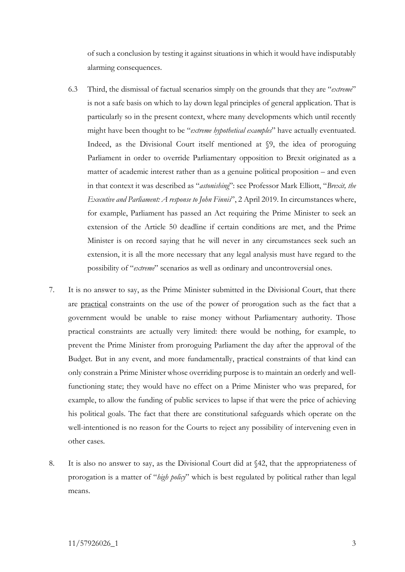of such a conclusion by testing it against situations in which it would have indisputably alarming consequences.

- 6.3 Third, the dismissal of factual scenarios simply on the grounds that they are "*extreme*" is not a safe basis on which to lay down legal principles of general application. That is particularly so in the present context, where many developments which until recently might have been thought to be "*extreme hypothetical examples*" have actually eventuated. Indeed, as the Divisional Court itself mentioned at §9, the idea of proroguing Parliament in order to override Parliamentary opposition to Brexit originated as a matter of academic interest rather than as a genuine political proposition – and even in that context it was described as "*astonishing*": see Professor Mark Elliott, "*Brexit, the Executive and Parliament: A response to John Finnis*", 2 April 2019. In circumstances where, for example, Parliament has passed an Act requiring the Prime Minister to seek an extension of the Article 50 deadline if certain conditions are met, and the Prime Minister is on record saying that he will never in any circumstances seek such an extension, it is all the more necessary that any legal analysis must have regard to the possibility of "*extreme*" scenarios as well as ordinary and uncontroversial ones.
- 7. It is no answer to say, as the Prime Minister submitted in the Divisional Court, that there are practical constraints on the use of the power of prorogation such as the fact that a government would be unable to raise money without Parliamentary authority. Those practical constraints are actually very limited: there would be nothing, for example, to prevent the Prime Minister from proroguing Parliament the day after the approval of the Budget. But in any event, and more fundamentally, practical constraints of that kind can only constrain a Prime Minister whose overriding purpose is to maintain an orderly and wellfunctioning state; they would have no effect on a Prime Minister who was prepared, for example, to allow the funding of public services to lapse if that were the price of achieving his political goals. The fact that there are constitutional safeguards which operate on the well-intentioned is no reason for the Courts to reject any possibility of intervening even in other cases.
- 8. It is also no answer to say, as the Divisional Court did at §42, that the appropriateness of prorogation is a matter of "*high policy*" which is best regulated by political rather than legal means.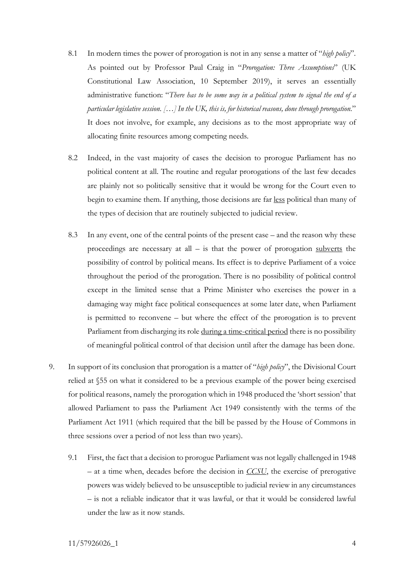- 8.1 In modern times the power of prorogation is not in any sense a matter of "*high policy*". As pointed out by Professor Paul Craig in "*Prorogation: Three Assumptions*" (UK Constitutional Law Association, 10 September 2019), it serves an essentially administrative function: "*There has to be some way in a political system to signal the end of a particular legislative session. […] In the UK, this is, for historical reasons, done through prorogation.*" It does not involve, for example, any decisions as to the most appropriate way of allocating finite resources among competing needs.
- 8.2 Indeed, in the vast majority of cases the decision to prorogue Parliament has no political content at all. The routine and regular prorogations of the last few decades are plainly not so politically sensitive that it would be wrong for the Court even to begin to examine them. If anything, those decisions are far less political than many of the types of decision that are routinely subjected to judicial review.
- 8.3 In any event, one of the central points of the present case and the reason why these proceedings are necessary at all  $-$  is that the power of prorogation subverts the possibility of control by political means. Its effect is to deprive Parliament of a voice throughout the period of the prorogation. There is no possibility of political control except in the limited sense that a Prime Minister who exercises the power in a damaging way might face political consequences at some later date, when Parliament is permitted to reconvene – but where the effect of the prorogation is to prevent Parliament from discharging its role during a time-critical period there is no possibility of meaningful political control of that decision until after the damage has been done.
- 9. In support of its conclusion that prorogation is a matter of "*high policy*", the Divisional Court relied at §55 on what it considered to be a previous example of the power being exercised for political reasons, namely the prorogation which in 1948 produced the 'short session' that allowed Parliament to pass the Parliament Act 1949 consistently with the terms of the Parliament Act 1911 (which required that the bill be passed by the House of Commons in three sessions over a period of not less than two years).
	- 9.1 First, the fact that a decision to prorogue Parliament was not legally challenged in 1948 – at a time when, decades before the decision in *CCSU*, the exercise of prerogative powers was widely believed to be unsusceptible to judicial review in any circumstances – is not a reliable indicator that it was lawful, or that it would be considered lawful under the law as it now stands.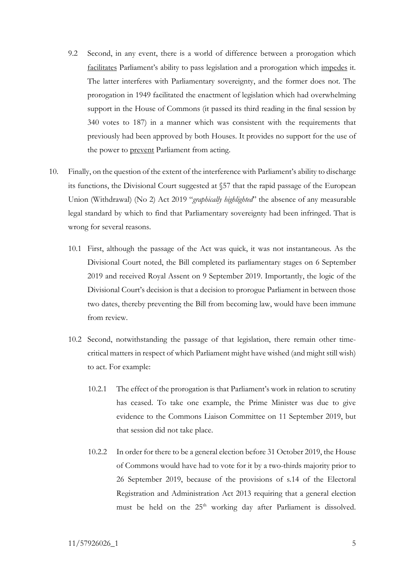- 9.2 Second, in any event, there is a world of difference between a prorogation which facilitates Parliament's ability to pass legislation and a prorogation which impedes it. The latter interferes with Parliamentary sovereignty, and the former does not. The prorogation in 1949 facilitated the enactment of legislation which had overwhelming support in the House of Commons (it passed its third reading in the final session by 340 votes to 187) in a manner which was consistent with the requirements that previously had been approved by both Houses. It provides no support for the use of the power to **prevent** Parliament from acting.
- 10. Finally, on the question of the extent of the interference with Parliament's ability to discharge its functions, the Divisional Court suggested at §57 that the rapid passage of the European Union (Withdrawal) (No 2) Act 2019 "*graphically highlighted*" the absence of any measurable legal standard by which to find that Parliamentary sovereignty had been infringed. That is wrong for several reasons.
	- 10.1 First, although the passage of the Act was quick, it was not instantaneous. As the Divisional Court noted, the Bill completed its parliamentary stages on 6 September 2019 and received Royal Assent on 9 September 2019. Importantly, the logic of the Divisional Court's decision is that a decision to prorogue Parliament in between those two dates, thereby preventing the Bill from becoming law, would have been immune from review.
	- 10.2 Second, notwithstanding the passage of that legislation, there remain other timecritical matters in respect of which Parliament might have wished (and might still wish) to act. For example:
		- 10.2.1 The effect of the prorogation is that Parliament's work in relation to scrutiny has ceased. To take one example, the Prime Minister was due to give evidence to the Commons Liaison Committee on 11 September 2019, but that session did not take place.
		- 10.2.2 In order for there to be a general election before 31 October 2019, the House of Commons would have had to vote for it by a two-thirds majority prior to 26 September 2019, because of the provisions of s.14 of the Electoral Registration and Administration Act 2013 requiring that a general election must be held on the 25<sup>th</sup> working day after Parliament is dissolved.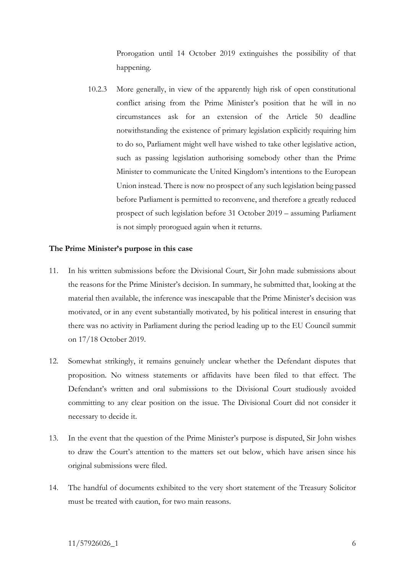Prorogation until 14 October 2019 extinguishes the possibility of that happening.

10.2.3 More generally, in view of the apparently high risk of open constitutional conflict arising from the Prime Minister's position that he will in no circumstances ask for an extension of the Article 50 deadline notwithstanding the existence of primary legislation explicitly requiring him to do so, Parliament might well have wished to take other legislative action, such as passing legislation authorising somebody other than the Prime Minister to communicate the United Kingdom's intentions to the European Union instead. There is now no prospect of any such legislation being passed before Parliament is permitted to reconvene, and therefore a greatly reduced prospect of such legislation before 31 October 2019 – assuming Parliament is not simply prorogued again when it returns.

#### **The Prime Minister's purpose in this case**

- 11. In his written submissions before the Divisional Court, Sir John made submissions about the reasons for the Prime Minister's decision. In summary, he submitted that, looking at the material then available, the inference was inescapable that the Prime Minister's decision was motivated, or in any event substantially motivated, by his political interest in ensuring that there was no activity in Parliament during the period leading up to the EU Council summit on 17/18 October 2019.
- 12. Somewhat strikingly, it remains genuinely unclear whether the Defendant disputes that proposition. No witness statements or affidavits have been filed to that effect. The Defendant's written and oral submissions to the Divisional Court studiously avoided committing to any clear position on the issue. The Divisional Court did not consider it necessary to decide it.
- 13. In the event that the question of the Prime Minister's purpose is disputed, Sir John wishes to draw the Court's attention to the matters set out below, which have arisen since his original submissions were filed.
- 14. The handful of documents exhibited to the very short statement of the Treasury Solicitor must be treated with caution, for two main reasons.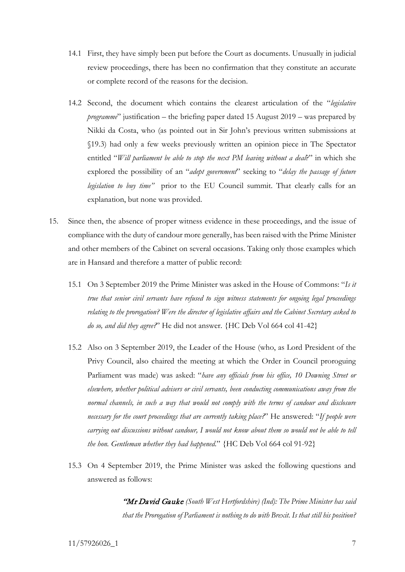- 14.1 First, they have simply been put before the Court as documents. Unusually in judicial review proceedings, there has been no confirmation that they constitute an accurate or complete record of the reasons for the decision.
- 14.2 Second, the document which contains the clearest articulation of the "*legislative programme*" justification – the briefing paper dated 15 August 2019 – was prepared by Nikki da Costa, who (as pointed out in Sir John's previous written submissions at §19.3) had only a few weeks previously written an opinion piece in The Spectator entitled "*Will parliament be able to stop the next PM leaving without a deal*?" in which she explored the possibility of an "*adept government*" seeking to "*delay the passage of future legislation to buy time"* prior to the EU Council summit. That clearly calls for an explanation, but none was provided.
- 15. Since then, the absence of proper witness evidence in these proceedings, and the issue of compliance with the duty of candour more generally, has been raised with the Prime Minister and other members of the Cabinet on several occasions. Taking only those examples which are in Hansard and therefore a matter of public record:
	- 15.1 On 3 September 2019 the Prime Minister was asked in the House of Commons: "*Is it true that senior civil servants have refused to sign witness statements for ongoing legal proceedings relating to the prorogation? Were the director of legislative affairs and the Cabinet Secretary asked to do so, and did they agree?*" He did not answer. {HC Deb Vol 664 col 41-42}
	- 15.2 Also on 3 September 2019, the Leader of the House (who, as Lord President of the Privy Council, also chaired the meeting at which the Order in Council proroguing Parliament was made) was asked: "*have any officials from his office, 10 Downing Street or elsewhere, whether political advisers or civil servants, been conducting communications away from the normal channels, in such a way that would not comply with the terms of candour and disclosure necessary for the court proceedings that are currently taking place?*" He answered: "*If people were carrying out discussions without candour, I would not know about them so would not be able to tell the hon. Gentleman whether they had happened*." {HC Deb Vol 664 col 91-92}
	- 15.3 On 4 September 2019, the Prime Minister was asked the following questions and answered as follows:

"Mr David Gauke *(South West Hertfordshire) (Ind): The Prime Minister has said that the Prorogation of Parliament is nothing to do with Brexit. Is that still his position?*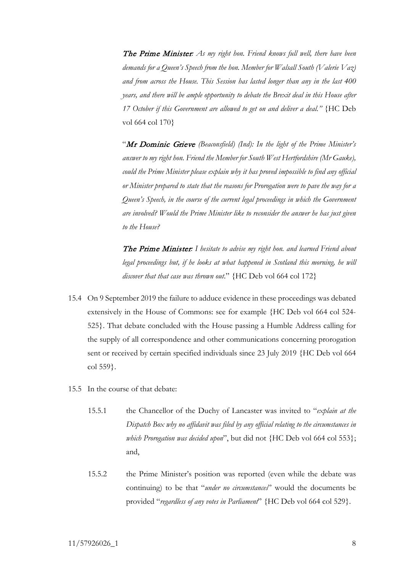The Prime Minister*: As my right hon. Friend knows full well, there have been demands for a Queen's Speech from the hon. Member for Walsall South (Valerie Vaz) and from across the House. This Session has lasted longer than any in the last 400 years, and there will be ample opportunity to debate the Brexit deal in this House after 17 October if this Government are allowed to get on and deliver a deal."* {HC Deb vol 664 col 170}

"Mr Dominic Grieve *(Beaconsfield) (Ind): In the light of the Prime Minister's answer to my right hon. Friend the Member for South West Hertfordshire (Mr Gauke), could the Prime Minister please explain why it has proved impossible to find any official or Minister prepared to state that the reasons for Prorogation were to pave the way for a Queen's Speech, in the course of the current legal proceedings in which the Government are involved? Would the Prime Minister like to reconsider the answer he has just given to the House?* 

The Prime Minister*: I hesitate to advise my right hon. and learned Friend about*  legal proceedings but, if he looks at what happened in Scotland this morning, he will *discover that that case was thrown out*." {HC Deb vol 664 col 172}

- 15.4 On 9 September 2019 the failure to adduce evidence in these proceedings was debated extensively in the House of Commons: see for example {HC Deb vol 664 col 524- 525}. That debate concluded with the House passing a Humble Address calling for the supply of all correspondence and other communications concerning prorogation sent or received by certain specified individuals since 23 July 2019 {HC Deb vol 664 col 559}.
- 15.5 In the course of that debate:
	- 15.5.1 the Chancellor of the Duchy of Lancaster was invited to "*explain at the Dispatch Box why no affidavit was filed by any official relating to the circumstances in which Prorogation was decided upon*", but did not {HC Deb vol 664 col 553}; and,
	- 15.5.2 the Prime Minister's position was reported (even while the debate was continuing) to be that "*under no circumstances*" would the documents be provided "*regardless of any votes in Parliament*" {HC Deb vol 664 col 529}.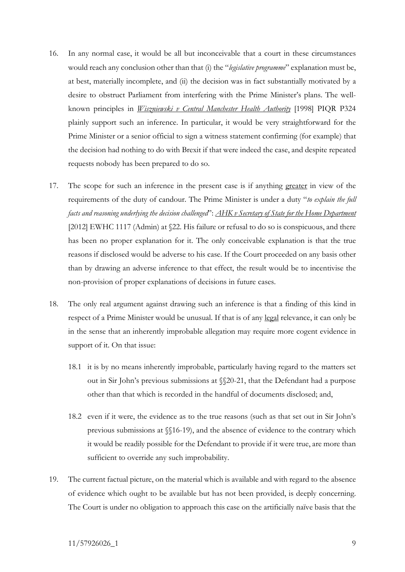- 16. In any normal case, it would be all but inconceivable that a court in these circumstances would reach any conclusion other than that (i) the "*legislative programme*" explanation must be, at best, materially incomplete, and (ii) the decision was in fact substantially motivated by a desire to obstruct Parliament from interfering with the Prime Minister's plans. The wellknown principles in *Wiszniewski v Central Manchester Health Authority* [1998] PIQR P324 plainly support such an inference. In particular, it would be very straightforward for the Prime Minister or a senior official to sign a witness statement confirming (for example) that the decision had nothing to do with Brexit if that were indeed the case, and despite repeated requests nobody has been prepared to do so.
- 17. The scope for such an inference in the present case is if anything greater in view of the requirements of the duty of candour. The Prime Minister is under a duty "*to explain the full facts and reasoning underlying the decision challenged*": *AHK v Secretary of State for the Home Department* [2012] EWHC 1117 (Admin) at §22. His failure or refusal to do so is conspicuous, and there has been no proper explanation for it. The only conceivable explanation is that the true reasons if disclosed would be adverse to his case. If the Court proceeded on any basis other than by drawing an adverse inference to that effect, the result would be to incentivise the non-provision of proper explanations of decisions in future cases.
- 18. The only real argument against drawing such an inference is that a finding of this kind in respect of a Prime Minister would be unusual. If that is of any legal relevance, it can only be in the sense that an inherently improbable allegation may require more cogent evidence in support of it. On that issue:
	- 18.1 it is by no means inherently improbable, particularly having regard to the matters set out in Sir John's previous submissions at §§20-21, that the Defendant had a purpose other than that which is recorded in the handful of documents disclosed; and,
	- 18.2 even if it were, the evidence as to the true reasons (such as that set out in Sir John's previous submissions at §§16-19), and the absence of evidence to the contrary which it would be readily possible for the Defendant to provide if it were true, are more than sufficient to override any such improbability.
- 19. The current factual picture, on the material which is available and with regard to the absence of evidence which ought to be available but has not been provided, is deeply concerning. The Court is under no obligation to approach this case on the artificially naïve basis that the